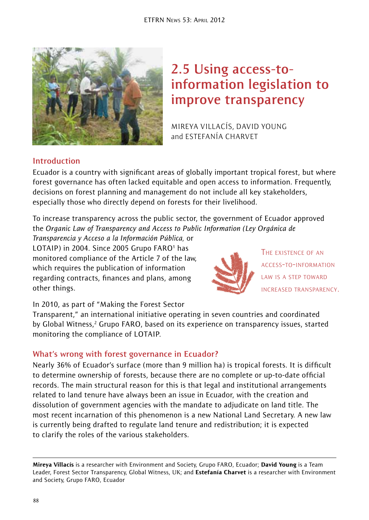

# **2.5 Using access-toinformation legislation to improve transparency**

Mireya Villacís, David Young and ESTEFANÍA CHARVET

# **Introduction**

Ecuador is a country with significant areas of globally important tropical forest, but where forest governance has often lacked equitable and open access to information. Frequently, decisions on forest planning and management do not include all key stakeholders, especially those who directly depend on forests for their livelihood.

To increase transparency across the public sector, the government of Ecuador approved the *Organic Law of Transparency and Access to Public Information (Ley Orgánica de* 

*Transparencia y Acceso a la Información Pública,* or LOTAIP) in 2004. Since 2005 Grupo FARO<sup>1</sup> has monitored compliance of the Article 7 of the law, which requires the publication of information regarding contracts, finances and plans, among other things.



The existence of an access-to-information law is a step toward increased transparency.

In 2010, as part of "Making the Forest Sector

Transparent," an international initiative operating in seven countries and coordinated by Global Witness,<sup>2</sup> Grupo FARO, based on its experience on transparency issues, started monitoring the compliance of LOTAIP.

## **What's wrong with forest governance in Ecuador?**

Nearly 36% of Ecuador's surface (more than 9 million ha) is tropical forests. It is difficult to determine ownership of forests, because there are no complete or up-to-date official records. The main structural reason for this is that legal and institutional arrangements related to land tenure have always been an issue in Ecuador, with the creation and dissolution of government agencies with the mandate to adjudicate on land title. The most recent incarnation of this phenomenon is a new National Land Secretary. A new law is currently being drafted to regulate land tenure and redistribution; it is expected to clarify the roles of the various stakeholders.

Mireya Villacís is a researcher with Environment and Society, Grupo FARO, Ecuador; David Young is a Team Leader, Forest Sector Transparency, Global Witness, UK; and Estefanía Charvet is a researcher with Environment and Society, Grupo FARO, Ecuador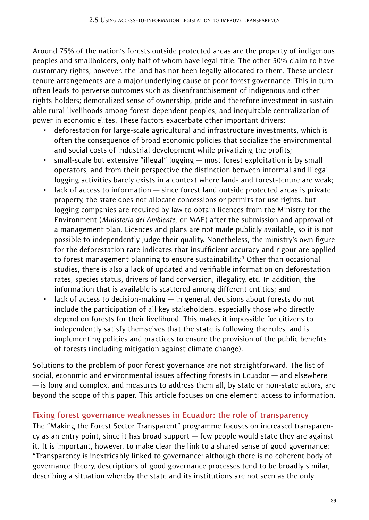Around 75% of the nation's forests outside protected areas are the property of indigenous peoples and smallholders, only half of whom have legal title. The other 50% claim to have customary rights; however, the land has not been legally allocated to them. These unclear tenure arrangements are a major underlying cause of poor forest governance. This in turn often leads to perverse outcomes such as disenfranchisement of indigenous and other rights-holders; demoralized sense of ownership, pride and therefore investment in sustainable rural livelihoods among forest-dependent peoples; and inequitable centralization of power in economic elites. These factors exacerbate other important drivers:

- deforestation for large-scale agricultural and infrastructure investments, which is often the consequence of broad economic policies that socialize the environmental and social costs of industrial development while privatizing the profits;
- small-scale but extensive "illegal" logging most forest exploitation is by small operators, and from their perspective the distinction between informal and illegal logging activities barely exists in a context where land- and forest-tenure are weak;
- lack of access to information since forest land outside protected areas is private property, the state does not allocate concessions or permits for use rights, but logging companies are required by law to obtain licences from the Ministry for the Environment (*Ministerio del Ambiente,* or MAE) after the submission and approval of a management plan. Licences and plans are not made publicly available, so it is not possible to independently judge their quality. Nonetheless, the ministry's own figure for the deforestation rate indicates that insufficient accuracy and rigour are applied to forest management planning to ensure sustainability.<sup>3</sup> Other than occasional studies, there is also a lack of updated and verifiable information on deforestation rates, species status, drivers of land conversion, illegality, etc. In addition, the information that is available is scattered among different entities; and
- lack of access to decision-making  $-$  in general, decisions about forests do not include the participation of all key stakeholders, especially those who directly depend on forests for their livelihood. This makes it impossible for citizens to independently satisfy themselves that the state is following the rules, and is implementing policies and practices to ensure the provision of the public benefits of forests (including mitigation against climate change).

Solutions to the problem of poor forest governance are not straightforward. The list of social, economic and environmental issues affecting forests in Ecuador — and elsewhere — is long and complex, and measures to address them all, by state or non-state actors, are beyond the scope of this paper. This article focuses on one element: access to information.

#### **Fixing forest governance weaknesses in Ecuador: the role of transparency**

The "Making the Forest Sector Transparent" programme focuses on increased transparency as an entry point, since it has broad support — few people would state they are against it. It is important, however, to make clear the link to a shared sense of good governance: "Transparency is inextricably linked to governance: although there is no coherent body of governance theory, descriptions of good governance processes tend to be broadly similar, describing a situation whereby the state and its institutions are not seen as the only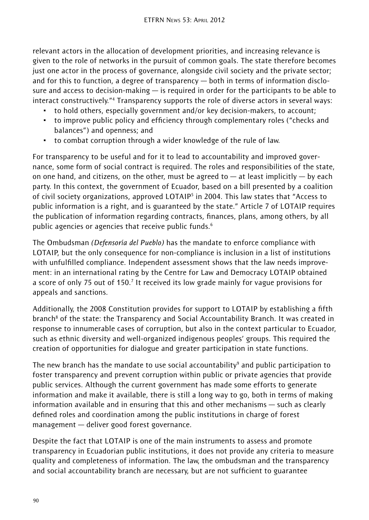relevant actors in the allocation of development priorities, and increasing relevance is given to the role of networks in the pursuit of common goals. The state therefore becomes just one actor in the process of governance, alongside civil society and the private sector; and for this to function, a degree of transparency — both in terms of information disclosure and access to decision-making  $-$  is required in order for the participants to be able to interact constructively."4 Transparency supports the role of diverse actors in several ways:

- to hold others, especially government and/or key decision-makers, to account;
- to improve public policy and efficiency through complementary roles ("checks and balances") and openness; and
- to combat corruption through a wider knowledge of the rule of law.

For transparency to be useful and for it to lead to accountability and improved governance, some form of social contract is required. The roles and responsibilities of the state, on one hand, and citizens, on the other, must be agreed to  $-$  at least implicitly  $-$  by each party. In this context, the government of Ecuador, based on a bill presented by a coalition of civil society organizations, approved LOTAIP<sup>5</sup> in 2004. This law states that "Access to public information is a right, and is guaranteed by the state." Article 7 of LOTAIP requires the publication of information regarding contracts, finances, plans, among others, by all public agencies or agencies that receive public funds.<sup>6</sup>

The Ombudsman *(Defensoría del Pueblo)* has the mandate to enforce compliance with LOTAIP, but the only consequence for non-compliance is inclusion in a list of institutions with unfulfilled compliance. Independent assessment shows that the law needs improvement: in an international rating by the Centre for Law and Democracy LOTAIP obtained a score of only 75 out of 150.7 It received its low grade mainly for vague provisions for appeals and sanctions.

Additionally, the 2008 Constitution provides for support to LOTAIP by establishing a fifth branch<sup>8</sup> of the state: the Transparency and Social Accountability Branch. It was created in response to innumerable cases of corruption, but also in the context particular to Ecuador, such as ethnic diversity and well-organized indigenous peoples' groups. This required the creation of opportunities for dialogue and greater participation in state functions.

The new branch has the mandate to use social accountability $\theta$  and public participation to foster transparency and prevent corruption within public or private agencies that provide public services. Although the current government has made some efforts to generate information and make it available, there is still a long way to go, both in terms of making information available and in ensuring that this and other mechanisms — such as clearly defined roles and coordination among the public institutions in charge of forest management — deliver good forest governance.

Despite the fact that LOTAIP is one of the main instruments to assess and promote transparency in Ecuadorian public institutions, it does not provide any criteria to measure quality and completeness of information. The law, the ombudsman and the transparency and social accountability branch are necessary, but are not sufficient to guarantee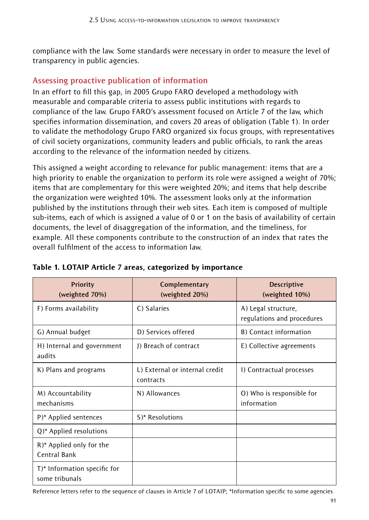compliance with the law. Some standards were necessary in order to measure the level of transparency in public agencies.

# **Assessing proactive publication of information**

In an effort to fill this gap, in 2005 Grupo FARO developed a methodology with measurable and comparable criteria to assess public institutions with regards to compliance of the law. Grupo FARO's assessment focused on Article 7 of the law, which specifies information dissemination, and covers 20 areas of obligation (Table 1). In order to validate the methodology Grupo FARO organized six focus groups, with representatives of civil society organizations, community leaders and public officials, to rank the areas according to the relevance of the information needed by citizens.

This assigned a weight according to relevance for public management: items that are a high priority to enable the organization to perform its role were assigned a weight of 70%; items that are complementary for this were weighted 20%; and items that help describe the organization were weighted 10%. The assessment looks only at the information published by the institutions through their web sites. Each item is composed of multiple sub-items, each of which is assigned a value of 0 or 1 on the basis of availability of certain documents, the level of disaggregation of the information, and the timeliness, for example. All these components contribute to the construction of an index that rates the overall fulfilment of the access to information law.

| <b>Priority</b><br>(weighted 70%)              | Complementary<br>(weighted 20%)             | <b>Descriptive</b><br>(weighted 10%)              |
|------------------------------------------------|---------------------------------------------|---------------------------------------------------|
| F) Forms availability                          | C) Salaries                                 | A) Legal structure,<br>regulations and procedures |
| G) Annual budget                               | D) Services offered                         | B) Contact information                            |
| H) Internal and government<br>audits           | J) Breach of contract                       | E) Collective agreements                          |
| K) Plans and programs                          | L) External or internal credit<br>contracts | I) Contractual processes                          |
| M) Accountability<br>mechanisms                | N) Allowances                               | O) Who is responsible for<br>information          |
| P)* Applied sentences                          | S)* Resolutions                             |                                                   |
| $Q$ <sup>*</sup> Applied resolutions           |                                             |                                                   |
| R)* Applied only for the<br>Central Bank       |                                             |                                                   |
| T)* Information specific for<br>some tribunals |                                             |                                                   |

#### Table 1. LOTAIP Article 7 areas, categorized by importance

Reference letters refer to the sequence of clauses in Article 7 of LOTAIP; \*Information specific to some agencies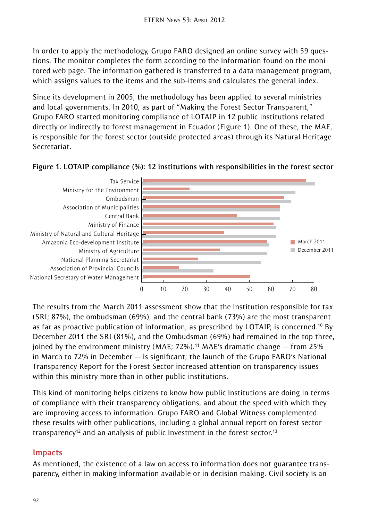In order to apply the methodology, Grupo FARO designed an online survey with 59 questions. The monitor completes the form according to the information found on the monitored web page. The information gathered is transferred to a data management program, which assigns values to the items and the sub-items and calculates the general index.

Since its development in 2005, the methodology has been applied to several ministries and local governments. In 2010, as part of "Making the Forest Sector Transparent," Grupo FARO started monitoring compliance of LOTAIP in 12 public institutions related directly or indirectly to forest management in Ecuador (Figure 1). One of these, the MAE, is responsible for the forest sector (outside protected areas) through its Natural Heritage Secretariat.



**Figure 1. LOTAIP compliance (%): 12 institutions with responsibilities in the forest sector**

The results from the March 2011 assessment show that the institution responsible for tax (SRI; 87%), the ombudsman (69%), and the central bank (73%) are the most transparent as far as proactive publication of information, as prescribed by LOTAIP, is concerned.<sup>10</sup> By December 2011 the SRI (81%), and the Ombudsman (69%) had remained in the top three, joined by the environment ministry (MAE; 72%).<sup>11</sup> MAE's dramatic change  $-$  from 25% in March to 72% in December — is significant; the launch of the Grupo FARO's National Transparency Report for the Forest Sector increased attention on transparency issues within this ministry more than in other public institutions.

This kind of monitoring helps citizens to know how public institutions are doing in terms of compliance with their transparency obligations, and about the speed with which they are improving access to information. Grupo FARO and Global Witness complemented these results with other publications, including a global annual report on forest sector transparency<sup>12</sup> and an analysis of public investment in the forest sector.<sup>13</sup>

## **Impacts**

As mentioned, the existence of a law on access to information does not guarantee transparency, either in making information available or in decision making. Civil society is an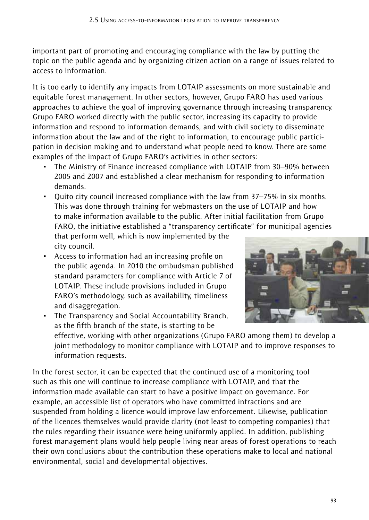important part of promoting and encouraging compliance with the law by putting the topic on the public agenda and by organizing citizen action on a range of issues related to access to information.

It is too early to identify any impacts from LOTAIP assessments on more sustainable and equitable forest management. In other sectors, however, Grupo FARO has used various approaches to achieve the goal of improving governance through increasing transparency. Grupo FARO worked directly with the public sector, increasing its capacity to provide information and respond to information demands, and with civil society to disseminate information about the law and of the right to information, to encourage public participation in decision making and to understand what people need to know. There are some examples of the impact of Grupo FARO's activities in other sectors:

- The Ministry of Finance increased compliance with LOTAIP from 30–90% between 2005 and 2007 and established a clear mechanism for responding to information demands.
- Quito city council increased compliance with the law from 37–75% in six months. This was done through training for webmasters on the use of LOTAIP and how to make information available to the public. After initial facilitation from Grupo FARO, the initiative established a "transparency certificate" for municipal agencies that perform well, which is now implemented by the city council.
- Access to information had an increasing profile on the public agenda. In 2010 the ombudsman published standard parameters for compliance with Article 7 of LOTAIP. These include provisions included in Grupo FARO's methodology, such as availability, timeliness and disaggregation.



• The Transparency and Social Accountability Branch, as the fifth branch of the state, is starting to be effective, working with other organizations (Grupo FARO among them) to develop a joint methodology to monitor compliance with LOTAIP and to improve responses to information requests.

In the forest sector, it can be expected that the continued use of a monitoring tool such as this one will continue to increase compliance with LOTAIP, and that the information made available can start to have a positive impact on governance. For example, an accessible list of operators who have committed infractions and are suspended from holding a licence would improve law enforcement. Likewise, publication of the licences themselves would provide clarity (not least to competing companies) that the rules regarding their issuance were being uniformly applied. In addition, publishing forest management plans would help people living near areas of forest operations to reach their own conclusions about the contribution these operations make to local and national environmental, social and developmental objectives.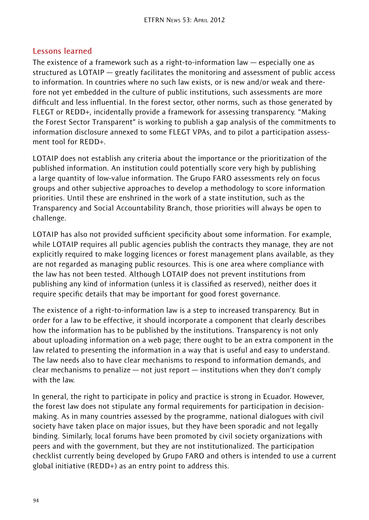#### **Lessons learned**

The existence of a framework such as a right-to-information law — especially one as structured as LOTAIP — greatly facilitates the monitoring and assessment of public access to information. In countries where no such law exists, or is new and/or weak and therefore not yet embedded in the culture of public institutions, such assessments are more difficult and less influential. In the forest sector, other norms, such as those generated by FLEGT or REDD+, incidentally provide a framework for assessing transparency. "Making the Forest Sector Transparent" is working to publish a gap analysis of the commitments to information disclosure annexed to some FLEGT VPAs, and to pilot a participation assessment tool for RFDD+

LOTAIP does not establish any criteria about the importance or the prioritization of the published information. An institution could potentially score very high by publishing a large quantity of low-value information. The Grupo FARO assessments rely on focus groups and other subjective approaches to develop a methodology to score information priorities. Until these are enshrined in the work of a state institution, such as the Transparency and Social Accountability Branch, those priorities will always be open to challenge.

LOTAIP has also not provided sufficient specificity about some information. For example, while LOTAIP requires all public agencies publish the contracts they manage, they are not explicitly required to make logging licences or forest management plans available, as they are not regarded as managing public resources. This is one area where compliance with the law has not been tested. Although LOTAIP does not prevent institutions from publishing any kind of information (unless it is classified as reserved), neither does it require specific details that may be important for good forest governance.

The existence of a right-to-information law is a step to increased transparency. But in order for a law to be effective, it should incorporate a component that clearly describes how the information has to be published by the institutions. Transparency is not only about uploading information on a web page; there ought to be an extra component in the law related to presenting the information in a way that is useful and easy to understand. The law needs also to have clear mechanisms to respond to information demands, and clear mechanisms to penalize — not just report — institutions when they don't comply with the law.

In general, the right to participate in policy and practice is strong in Ecuador. However, the forest law does not stipulate any formal requirements for participation in decisionmaking. As in many countries assessed by the programme, national dialogues with civil society have taken place on major issues, but they have been sporadic and not legally binding. Similarly, local forums have been promoted by civil society organizations with peers and with the government, but they are not institutionalized. The participation checklist currently being developed by Grupo FARO and others is intended to use a current global initiative (REDD+) as an entry point to address this.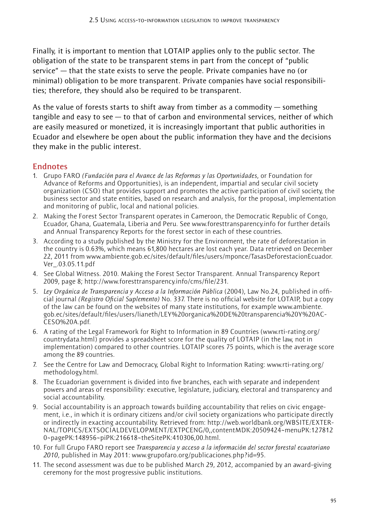Finally, it is important to mention that LOTAIP applies only to the public sector. The obligation of the state to be transparent stems in part from the concept of "public service" — that the state exists to serve the people. Private companies have no (or minimal) obligation to be more transparent. Private companies have social responsibilities; therefore, they should also be required to be transparent.

As the value of forests starts to shift away from timber as a commodity — something tangible and easy to see  $-$  to that of carbon and environmental services, neither of which are easily measured or monetized, it is increasingly important that public authorities in Ecuador and elsewhere be open about the public information they have and the decisions they make in the public interest.

#### **Endnotes**

- 1. Grupo FARO *(Fundación para el Avance de las Reformas y las Oportunidades*, or Foundation for Advance of Reforms and Opportunities), is an independent, impartial and secular civil society organization (CSO) that provides support and promotes the active participation of civil society, the business sector and state entities, based on research and analysis, for the proposal, implementation and monitoring of public, local and national policies.
- 2. Making the Forest Sector Transparent operates in Cameroon, the Democratic Republic of Congo, Ecuador, Ghana, Guatemala, Liberia and Peru. See www.foresttransparency.info for further details and Annual Transparency Reports for the forest sector in each of these countries.
- 3. According to a study published by the Ministry for the Environment, the rate of deforestation in the country is 0.63%, which means 61,800 hectares are lost each year. Data retrieved on December 22, 2011 from www.ambiente.gob.ec/sites/default/files/users/mponce/TasasDeforestacionEcuador. Ver\_.03.05.11.pdf
- 4. See Global Witness. 2010. Making the Forest Sector Transparent. Annual Transparency Report 2009, page 8; http://www.foresttransparency.info/cms/file/231.
- 5. *Ley Orgánica de Transparencia y Acceso a la Información Pública* (2004), Law No.24, published in official journal *(Registro Oficial Suplemento)* No. 337. There is no official website for LOTAIP, but a copy of the law can be found on the websites of many state institutions, for example www.ambiente. gob.ec/sites/default/files/users/lianeth/LEY%20organica%20DE%20transparencia%20Y%20AC-CESO%20A.pdf.
- 6. A rating of the Legal Framework for Right to Information in 89 Countries (www.rti-rating.org/ countrydata.html) provides a spreadsheet score for the quality of LOTAIP (in the law, not in implementation) compared to other countries. LOTAIP scores 75 points, which is the average score among the 89 countries.
- 7. See the Centre for Law and Democracy, Global Right to Information Rating: www.rti-rating.org/ methodology.html.
- 8. The Ecuadorian government is divided into five branches, each with separate and independent powers and areas of responsibility: executive, legislature, judiciary, electoral and transparency and social accountability.
- 9. Social accountability is an approach towards building accountability that relies on civic engagement, i.e., in which it is ordinary citizens and/or civil society organizations who participate directly or indirectly in exacting accountability. Retrieved from: http://web.worldbank.org/WBSITE/EXTER-NAL/TOPICS/EXTSOCIALDEVELOPMENT/EXTPCENG/0,,contentMDK:20509424~menuPK:127812 0~pagePK:148956~piPK:216618~theSitePK:410306,00.html.
- 10. For full Grupo FARO report see *Transparencia y acceso a la información del sector forestal ecuatoriano 2010*, published in May 2011: www.grupofaro.org/publicaciones.php?id=95.
- 11. The second assessment was due to be published March 29, 2012, accompanied by an award-giving ceremony for the most progressive public institutions.